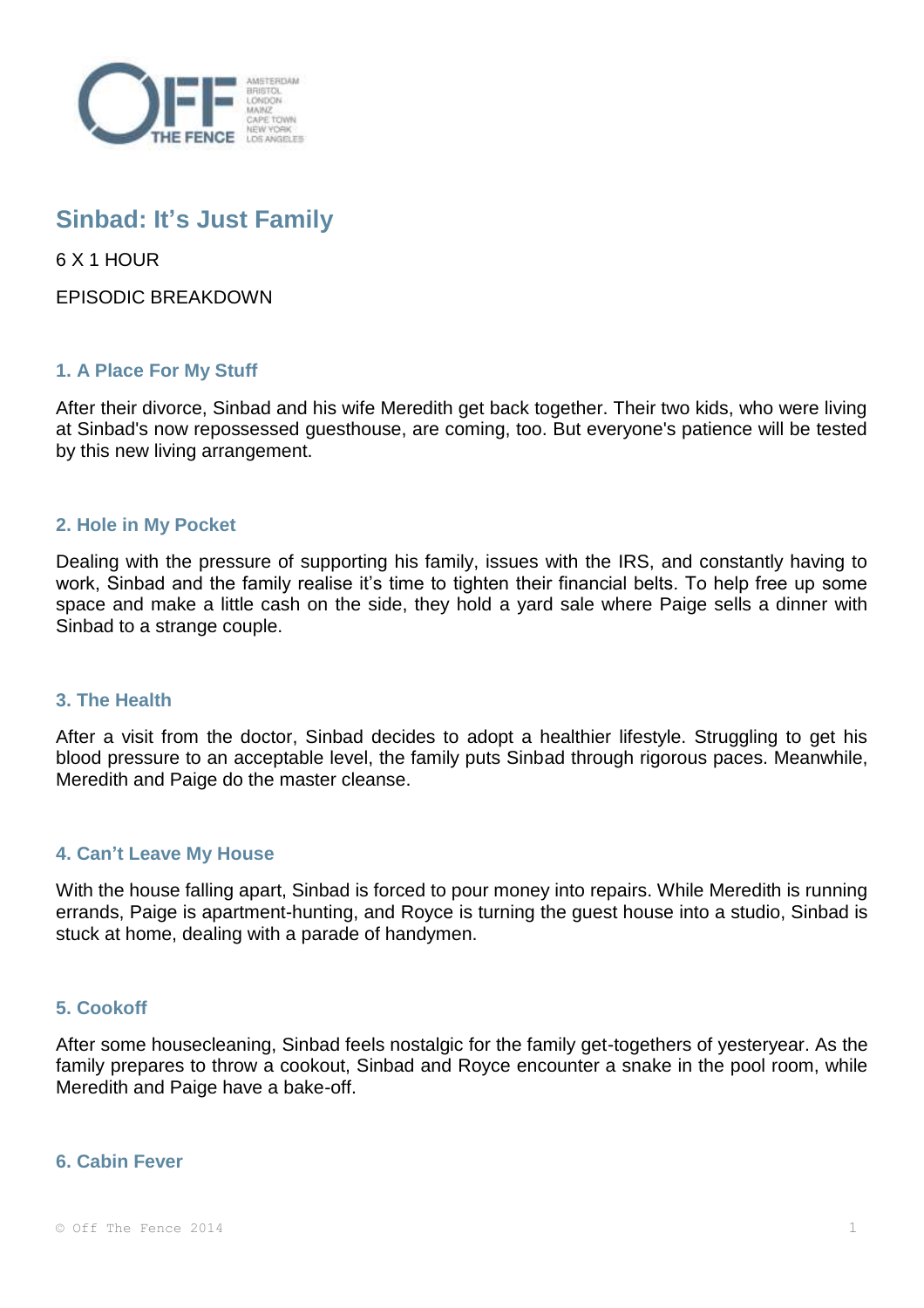

# **Sinbad: It's Just Family**

6 X 1 HOUR

EPISODIC BREAKDOWN

## **1. A Place For My Stuff**

After their divorce, Sinbad and his wife Meredith get back together. Their two kids, who were living at Sinbad's now repossessed guesthouse, are coming, too. But everyone's patience will be tested by this new living arrangement.

### **2. Hole in My Pocket**

Dealing with the pressure of supporting his family, issues with the IRS, and constantly having to work, Sinbad and the family realise it's time to tighten their financial belts. To help free up some space and make a little cash on the side, they hold a yard sale where Paige sells a dinner with Sinbad to a strange couple.

### **3. The Health**

After a visit from the doctor, Sinbad decides to adopt a healthier lifestyle. Struggling to get his blood pressure to an acceptable level, the family puts Sinbad through rigorous paces. Meanwhile, Meredith and Paige do the master cleanse.

### **4. Can't Leave My House**

With the house falling apart, Sinbad is forced to pour money into repairs. While Meredith is running errands, Paige is apartment-hunting, and Royce is turning the guest house into a studio, Sinbad is stuck at home, dealing with a parade of handymen.

### **5. Cookoff**

After some housecleaning, Sinbad feels nostalgic for the family get-togethers of yesteryear. As the family prepares to throw a cookout, Sinbad and Royce encounter a snake in the pool room, while Meredith and Paige have a bake-off.

### **6. Cabin Fever**